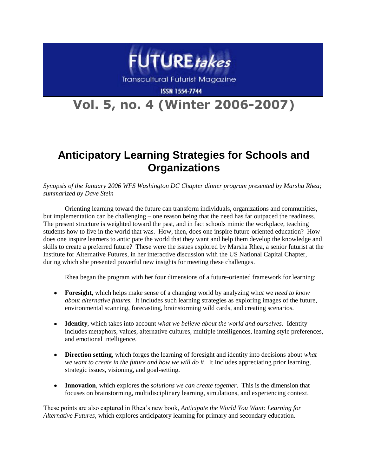

**Transcultural Futurist Magazine** 

**ISSN 1554-7744** 

# **Vol. 5, no. 4 (Winter 2006-2007)**

# **Anticipatory Learning Strategies for Schools and Organizations**

*Synopsis of the January 2006 WFS Washington DC Chapter dinner program presented by Marsha Rhea; summarized by Dave Stein*

Orienting learning toward the future can transform individuals, organizations and communities, but implementation can be challenging – one reason being that the need has far outpaced the readiness. The present structure is weighted toward the past, and in fact schools mimic the workplace, teaching students how to live in the world that was. How, then, does one inspire future-oriented education? How does one inspire learners to anticipate the world that they want and help them develop the knowledge and skills to create a preferred future? These were the issues explored by Marsha Rhea, a senior futurist at the Institute for Alternative Futures, in her interactive discussion with the US National Capital Chapter, during which she presented powerful new insights for meeting these challenges.

Rhea began the program with her four dimensions of a future-oriented framework for learning:

- **Foresight**, which helps make sense of a changing world by analyzing wh*at* we *need to know about alternative futures.* It includes such learning strategies as exploring images of the future, environmental scanning, forecasting, brainstorming wild cards, and creating scenarios.
- **Identity**, which takes into account *what we believe about the world and ourselves.* Identity includes metaphors, values, alternative cultures, multiple intelligences, learning style preferences, and emotional intelligence.
- **Direction setting**, which forges the learning of foresight and identity into decisions about *what*   $\bullet$ *we want to create in the future and how we will do it*. It Includes appreciating prior learning, strategic issues, visioning, and goal-setting.
- $\bullet$ **Innovation**, which explores the *solutions we can create together*. This is the dimension that focuses on brainstorming, multidisciplinary learning, simulations, and experiencing context.

These points are also captured in Rhea's new book, *Anticipate the World You Want: Learning for Alternative Futures,* which explores anticipatory learning for primary and secondary education.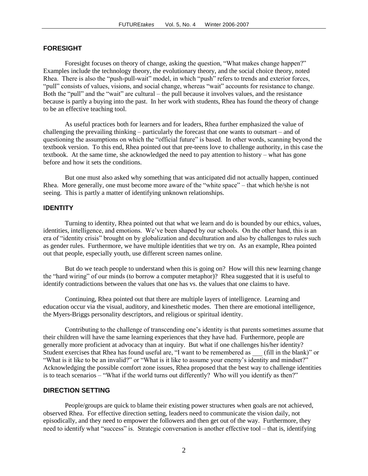### **FORESIGHT**

Foresight focuses on theory of change, asking the question, "What makes change happen?" Examples include the technology theory, the evolutionary theory, and the social choice theory, noted Rhea. There is also the "push-pull-wait" model, in which "push" refers to trends and exterior forces, "pull" consists of values, visions, and social change, whereas "wait" accounts for resistance to change. Both the "pull" and the "wait" are cultural – the pull because it involves values, and the resistance because is partly a buying into the past. In her work with students, Rhea has found the theory of change to be an effective teaching tool.

As useful practices both for learners and for leaders, Rhea further emphasized the value of challenging the prevailing thinking – particularly the forecast that one wants to outsmart – and of questioning the assumptions on which the "official future" is based. In other words, scanning beyond the textbook version. To this end, Rhea pointed out that pre-teens love to challenge authority, in this case the textbook. At the same time, she acknowledged the need to pay attention to history – what has gone before and how it sets the conditions.

But one must also asked why something that was anticipated did not actually happen, continued Rhea. More generally, one must become more aware of the "white space" – that which he/she is not seeing. This is partly a matter of identifying unknown relationships.

#### **IDENTITY**

Turning to identity, Rhea pointed out that what we learn and do is bounded by our ethics, values, identities, intelligence, and emotions. We've been shaped by our schools. On the other hand, this is an era of "identity crisis" brought on by globalization and deculturation and also by challenges to rules such as gender rules. Furthermore, we have multiple identities that we try on. As an example, Rhea pointed out that people, especially youth, use different screen names online.

But do we teach people to understand when this is going on? How will this new learning change the "hard wiring" of our minds (to borrow a computer metaphor)? Rhea suggested that it is useful to identify contradictions between the values that one has vs. the values that one claims to have.

Continuing, Rhea pointed out that there are multiple layers of intelligence. Learning and education occur via the visual, auditory, and kinesthetic modes. Then there are emotional intelligence, the Myers-Briggs personality descriptors, and religious or spiritual identity.

Contributing to the challenge of transcending one's identity is that parents sometimes assume that their children will have the same learning experiences that they have had. Furthermore, people are generally more proficient at advocacy than at inquiry. But what if one challenges his/her identity? Student exercises that Rhea has found useful are, "I want to be remembered as \_\_\_ (fill in the blank)" or "What is it like to be an invalid?" or "What is it like to assume your enemy's identity and mindset?" Acknowledging the possible comfort zone issues, Rhea proposed that the best way to challenge identities is to teach scenarios – "What if the world turns out differently? Who will you identify as then?"

#### **DIRECTION SETTING**

People/groups are quick to blame their existing power structures when goals are not achieved, observed Rhea. For effective direction setting, leaders need to communicate the vision daily, not episodically, and they need to empower the followers and then get out of the way. Furthermore, they need to identify what "success" is. Strategic conversation is another effective tool – that is, identifying